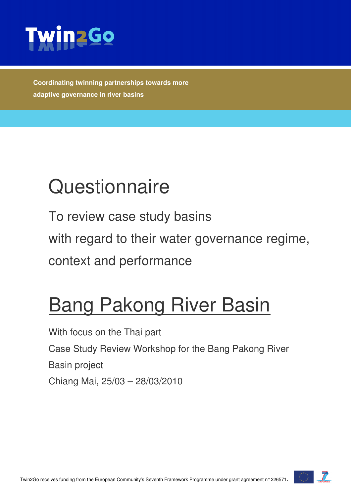

**Coordinating twinning partnerships towards more adaptive governance in river basins** 

# **Questionnaire**

To review case study basins

with regard to their water governance regime,

context and performance

## **Bang Pakong River Basin**

With focus on the Thai part Case Study Review Workshop for the Bang Pakong River Basin project Chiang Mai, 25/03 – 28/03/2010

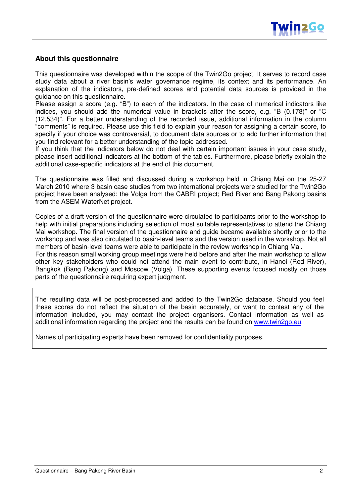

#### **About this questionnaire**

This questionnaire was developed within the scope of the Twin2Go project. It serves to record case study data about a river basin's water governance regime, its context and its performance. An explanation of the indicators, pre-defined scores and potential data sources is provided in the guidance on this questionnaire.

Please assign a score (e.g. "B") to each of the indicators. In the case of numerical indicators like indices, you should add the numerical value in brackets after the score, e.g. "B (0.178)" or "C (12,534)". For a better understanding of the recorded issue, additional information in the column "comments" is required. Please use this field to explain your reason for assigning a certain score, to specify if your choice was controversial, to document data sources or to add further information that you find relevant for a better understanding of the topic addressed.

If you think that the indicators below do not deal with certain important issues in your case study, please insert additional indicators at the bottom of the tables. Furthermore, please briefly explain the additional case-specific indicators at the end of this document.

The questionnaire was filled and discussed during a workshop held in Chiang Mai on the 25-27 March 2010 where 3 basin case studies from two international projects were studied for the Twin2Go project have been analysed: the Volga from the CABRI project; Red River and Bang Pakong basins from the ASEM WaterNet project.

Copies of a draft version of the questionnaire were circulated to participants prior to the workshop to help with initial preparations including selection of most suitable representatives to attend the Chiang Mai workshop. The final version of the questionnaire and guide became available shortly prior to the workshop and was also circulated to basin-level teams and the version used in the workshop. Not all members of basin-level teams were able to participate in the review workshop in Chiang Mai. For this reason small working group meetings were held before and after the main workshop to allow other key stakeholders who could not attend the main event to contribute, in Hanoi (Red River), Bangkok (Bang Pakong) and Moscow (Volga). These supporting events focused mostly on those parts of the questionnaire requiring expert judgment.

The resulting data will be post-processed and added to the Twin2Go database. Should you feel these scores do not reflect the situation of the basin accurately, or want to contest any of the information included, you may contact the project organisers. Contact information as well as additional information regarding the project and the results can be found on www.twin2go.eu.

Names of participating experts have been removed for confidentiality purposes.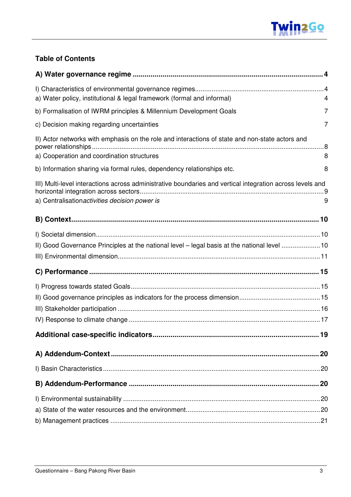

### **Table of Contents**

| a) Water policy, institutional & legal framework (formal and informal)                                                                                      | 4 |
|-------------------------------------------------------------------------------------------------------------------------------------------------------------|---|
| b) Formalisation of IWRM principles & Millennium Development Goals                                                                                          | 7 |
| c) Decision making regarding uncertainties                                                                                                                  | 7 |
| II) Actor networks with emphasis on the role and interactions of state and non-state actors and<br>a) Cooperation and coordination structures               | 8 |
| b) Information sharing via formal rules, dependency relationships etc.                                                                                      | 8 |
| III) Multi-level interactions across administrative boundaries and vertical integration across levels and<br>a) Centralisation activities decision power is | 9 |
|                                                                                                                                                             |   |
|                                                                                                                                                             |   |
| II) Good Governance Principles at the national level - legal basis at the national level 10                                                                 |   |
|                                                                                                                                                             |   |
|                                                                                                                                                             |   |
|                                                                                                                                                             |   |
|                                                                                                                                                             |   |
|                                                                                                                                                             |   |
|                                                                                                                                                             |   |
|                                                                                                                                                             |   |
|                                                                                                                                                             |   |
|                                                                                                                                                             |   |
|                                                                                                                                                             |   |
|                                                                                                                                                             |   |
|                                                                                                                                                             |   |
|                                                                                                                                                             |   |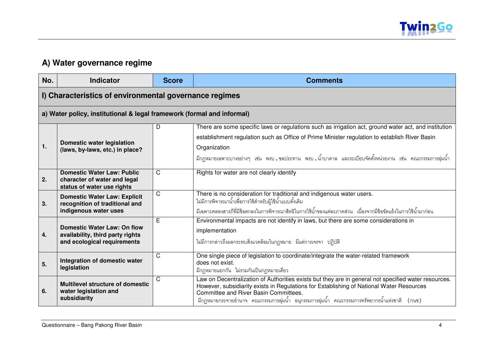

## **A) Water governance regime**

| No. | <b>Indicator</b>                                                                                      | <b>Score</b> | <b>Comments</b>                                                                                                                                                                                                                                                                                                                             |
|-----|-------------------------------------------------------------------------------------------------------|--------------|---------------------------------------------------------------------------------------------------------------------------------------------------------------------------------------------------------------------------------------------------------------------------------------------------------------------------------------------|
|     | I) Characteristics of environmental governance regimes                                                |              |                                                                                                                                                                                                                                                                                                                                             |
|     | a) Water policy, institutional & legal framework (formal and informal)                                |              |                                                                                                                                                                                                                                                                                                                                             |
| 1.  | <b>Domestic water legislation</b><br>(laws, by-laws, etc.) in place?                                  | D            | There are some specific laws or regulations such as irrigation act, ground water act, and institution<br>establishment regulation such as Office of Prime Minister regulation to establish River Basin<br>Organization<br>ี่ มีกฎหมายเฉพาะบางอย่างๆ เช่น พรบ ชลประทาน พรบ น้ำบาดาล และระเบียบจัดตั้งหน่วยงาน เช่น คณะกรรมการลุ่มน้ำ         |
| 2.  | <b>Domestic Water Law: Public</b><br>character of water and legal<br>status of water use rights       | $\mathsf{C}$ | Rights for water are not clearly identify                                                                                                                                                                                                                                                                                                   |
| 3.  | <b>Domestic Water Law: Explicit</b><br>recognition of traditional and<br>indigenous water uses        | C            | There is no consideration for traditional and indigenous water users.<br>ไม่มีการพิจารณาน้ำเพื่อการใช้สำหรับผู้ใช้น้ำแบบดั้งเดิม<br>้มีเฉพาะคลองสารภีที่มีข้อตกลงในการพิจารณาสิทธิในการใช้น้ำของแต่ละภาคส่วน เนื่องจากมีข้อขัดแย้งในการใช้น้ำมาก่อน                                                                                         |
| 4.  | <b>Domestic Water Law: On flow</b><br>availability, third party rights<br>and ecological requirements | E            | Environmental impacts are not identify in laws, but there are some considerations in<br>implementation<br>ไม่มีการกล่าวถึงผลกระทบสิ่งแวดล้อมในกฎหมาย มีแต่การเจรจา ปฏิบัติ                                                                                                                                                                  |
| 5.  | Integration of domestic water<br>legislation                                                          | C            | One single piece of legislation to coordinate/integrate the water-related framework<br>does not exist.<br>้มีกฎหมายแยกกัน ไม่รวมกันเป็นกฎหมายเดี่ยว                                                                                                                                                                                         |
| 6.  | <b>Multilevel structure of domestic</b><br>water legislation and<br>subsidiarity                      | C            | Law on Decentralization of Authorities exists but they are in general not specified water resources.<br>However, subsidiarity exists in Regulations for Establishing of National Water Resources<br>Committee and River Basin Committees.<br>ี่ มีกฎหมายกระจายอำนาจ คณะกรรมการลุ่มน้ำ อนุกรรมการลุ่มน้ำ คณะกรรมการทรัพยากรน้ำแห่งชาติ (กนช) |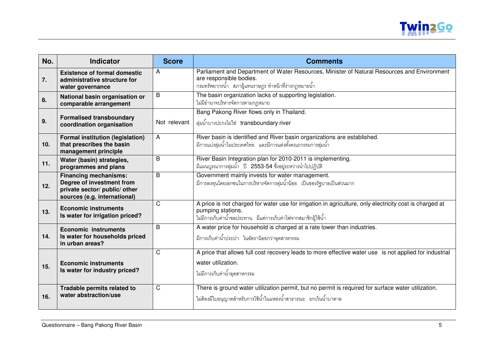

| No. | <b>Indicator</b>                                                                                                           | <b>Score</b> | <b>Comments</b>                                                                                                                                                                                |
|-----|----------------------------------------------------------------------------------------------------------------------------|--------------|------------------------------------------------------------------------------------------------------------------------------------------------------------------------------------------------|
| 7.  | <b>Existence of formal domestic</b><br>administrative structure for<br>water governance                                    | A            | Parliament and Department of Water Resources, Minister of Natural Resources and Environment<br>are responsible bodies.<br>ึกรมทรัพยากรน้ำ   สภาผู้แทนราษฎร ทำหน้าที่ร่างกฎหมายน้ำ              |
| 8.  | National basin organisation or<br>comparable arrangement                                                                   | B            | The basin organization lacks of supporting legislation.<br>ไม่มีอำนาจบริหารจัดการตามกฎหมาย                                                                                                     |
| 9.  | <b>Formalised transboundary</b><br>coordination organisation                                                               | Not relevant | Bang Pakong River flows only in Thailand.<br>ลุ่มน้ำบางปะกงไม่ใช่ transboundary river                                                                                                          |
| 10. | <b>Formal institution (legislation)</b><br>that prescribes the basin<br>management principle                               | A            | River basin is identified and River basin organizations are established.<br>้มีการแบ่งลุ่มน้ำในประเทศไทย และมีการแต่งตั้งคณะกรรมการลุ่มน้ำ                                                     |
| 11. | Water (basin) strategies,<br>programmes and plans                                                                          | B            | River Basin Integration plan for 2010-2011 is implementing.<br>มีแผนบูรณาการลุ่มน้ำ ปี 2553-54 ซึ่งอยู่ระหว่างนำไปปฏิบัติ                                                                      |
| 12. | <b>Financing mechanisms:</b><br>Degree of investment from<br>private sector/ public/ other<br>sources (e.g. international) | B            | Government mainly invests for water management.<br>มีการลงทุนโดยเอกชนในการบริหารจัดการลุ่มน้ำน้อย เป็นของรัฐบาลเป็นส่วนมาก                                                                     |
| 13. | <b>Economic instruments</b><br>Is water for irrigation priced?                                                             | C            | A price is not charged for water use for irrigation in agriculture, only electricity cost is charged at<br>pumping stations.<br>ไม่มีการเก็บค่าน้ำชลประทาน มีแต่การเก็บค่าไฟจากสมาชิกผู้ใช้น้ำ |
| 14. | <b>Economic instruments</b><br>Is water for households priced<br>in urban areas?                                           | B            | A water price for household is charged at a rate lower than industries.<br>้มีการเก็บค่าน้ำประปา ในอัตราน้อยกว่าอุตสาหกรรม                                                                     |
| 15. | <b>Economic instruments</b><br>Is water for industry priced?                                                               | C            | A price that allows full cost recovery leads to more effective water use is not applied for industrial<br>water utilization.<br>ไม่มีการเก็บค่าน้ำอุตสาหกรรม                                   |
| 16. | Tradable permits related to<br>water abstraction/use                                                                       | C            | There is ground water utilization permit, but no permit is required for surface water utilization.<br>ไม่ต้องมีใบอนุญาตสำหรับการใช้น้ำในแหล่งน้ำสาธารณะ ยกเว้นน้ำบาดาล                         |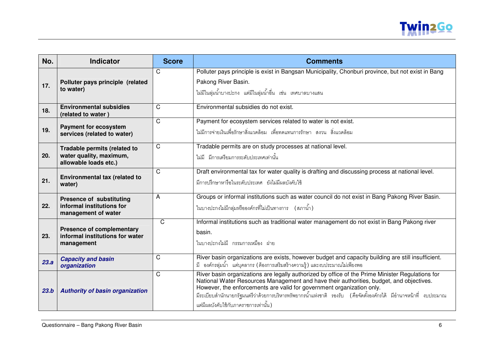

| No.  | <b>Indicator</b>                                                                    | <b>Score</b> | <b>Comments</b>                                                                                                                                                                                                                                                                                                                                                                                                                    |
|------|-------------------------------------------------------------------------------------|--------------|------------------------------------------------------------------------------------------------------------------------------------------------------------------------------------------------------------------------------------------------------------------------------------------------------------------------------------------------------------------------------------------------------------------------------------|
| 17.  | Polluter pays principle (related<br>to water)                                       | C            | Polluter pays principle is exist in Bangsan Municipality, Chonburi province, but not exist in Bang<br>Pakong River Basin.<br>ไม่มีในลุ่มน้ำบางปะกง แต่มีในลุ่มน้ำอื่น เช่น เทศบาลบางแสน                                                                                                                                                                                                                                            |
| 18.  | <b>Environmental subsidies</b><br>(related to water)                                | $\mathsf{C}$ | Environmental subsidies do not exist.                                                                                                                                                                                                                                                                                                                                                                                              |
| 19.  | <b>Payment for ecosystem</b><br>services (related to water)                         | $\mathsf{C}$ | Payment for ecosystem services related to water is not exist.<br>ไม่มีการจ่ายเงินเพื่อรักษาสิ่งแวดล้อม เพื่อทดแทนการรักษา สงวน สิ่งแวดล้อม                                                                                                                                                                                                                                                                                         |
| 20.  | Tradable permits (related to<br>water quality, maximum,<br>allowable loads etc.)    | $\mathsf{C}$ | Tradable permits are on study processes at national level.<br>ไม่มี มีการเตรียมการระดับประเทศเท่านั้น                                                                                                                                                                                                                                                                                                                              |
| 21.  | Environmental tax (related to<br>water)                                             | C            | Draft environmental tax for water quality is drafting and discussing process at national level.<br>้มีการปรึกษาหารือในระดับประเทศ ยังไม่มีผลบังคับใช้                                                                                                                                                                                                                                                                              |
| 22.  | <b>Presence of substituting</b><br>informal institutions for<br>management of water | A            | Groups or informal institutions such as water council do not exist in Bang Pakong River Basin.<br>ในบางปะกงไม่มีกลุ่มหรือองค์กรที่ไม่เป็นทางการ (สภาน้ำ)                                                                                                                                                                                                                                                                           |
| 23.  | <b>Presence of complementary</b><br>informal institutions for water<br>management   | $\mathsf{C}$ | Informal institutions such as traditional water management do not exist in Bang Pakong river<br>basin.<br>ในบางปะกงไม่มี กรรมการเหมือง ฝ่าย                                                                                                                                                                                                                                                                                        |
| 23.a | <b>Capacity and basin</b><br>organization                                           | C            | River basin organizations are exists, however budget and capacity building are still insufficient.<br>มี องค์กรลุ่มน้ำ แต่บุคลากร (ต้องการเสริมสร้างความรู้) และงบประมาณไม่เพียงพอ                                                                                                                                                                                                                                                 |
| 23.b | <b>Authority of basin organization</b>                                              | C            | River basin organizations are legally authorized by office of the Prime Minister Regulations for<br>National Water Resources Management and have their authorities, budget, and objectives.<br>However, the enforcements are valid for government organization only.<br>มีระเบียบสำนักนายกรัฐมนตรีว่าด้วยการบริหารทรัพยากรน้ำแห่งชาติ รองรับ (คือจัดตั้งองค์กรได้ มีอำนาจหน้าที่ งบประมาณ<br>แต่มีผลบังคับใช้กับภาคราชการเท่านั้น) |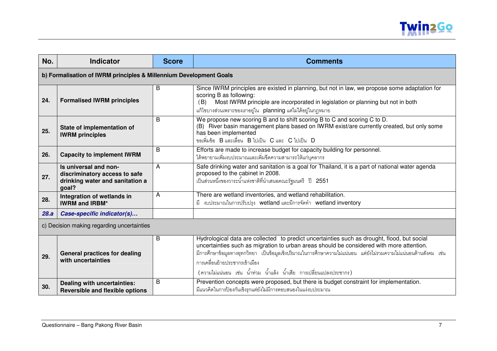

| No.  | <b>Indicator</b>                                                                                   | <b>Score</b>   | <b>Comments</b>                                                                                                                                                                                                                                                                                                                                                                                                      |  |
|------|----------------------------------------------------------------------------------------------------|----------------|----------------------------------------------------------------------------------------------------------------------------------------------------------------------------------------------------------------------------------------------------------------------------------------------------------------------------------------------------------------------------------------------------------------------|--|
|      | b) Formalisation of IWRM principles & Millennium Development Goals                                 |                |                                                                                                                                                                                                                                                                                                                                                                                                                      |  |
| 24.  | <b>Formalised IWRM principles</b>                                                                  | B              | Since IWRM principles are existed in planning, but not in law, we propose some adaptation for<br>scoring B as following:<br>Most IWRM principle are incorporated in legislation or planning but not in both<br>(B)<br>แก้ไขบางส่วนเพราะของเราอยู่ใน planning แต่ไม่ได้อยู่ในกฎหมาย                                                                                                                                   |  |
| 25.  | State of implementation of<br><b>IWRM</b> principles                                               | B              | We propose new scoring B and to shift scoring B to C and scoring C to D.<br>(B) River basin management plans based on IWRM exist/are currently created, but only some<br>has been implemented<br>ขอเพิ่มข้อ B และเลื่อน B ไปเป็น C และ C ไปเป็น D                                                                                                                                                                    |  |
| 26.  | <b>Capacity to implement IWRM</b>                                                                  | B              | Efforts are made to increase budget for capacity building for personnel.<br>ได้พยายามเพิ่มงบประมาณและเพิ่มขีดความสามารถให้แก่บุคลากร                                                                                                                                                                                                                                                                                 |  |
| 27.  | Is universal and non-<br>discriminatory access to safe<br>drinking water and sanitation a<br>goal? | $\overline{A}$ | Safe drinking water and sanitation is a goal for Thailand, it is a part of national water agenda<br>proposed to the cabinet in 2008.<br>.<br>เป็นส่วนหนึ่งของวาระน้ำแห่งชาติที่นำเสนอคณะรัฐมนตรี ปี 2551                                                                                                                                                                                                             |  |
| 28.  | Integration of wetlands in<br><b>IWRM and IRBM*</b>                                                | A              | There are wetland inventories, and wetland rehabilitation.<br>มี งบประมาณในการปรับปรุง wetland และมีการจัดทำ wetland inventory                                                                                                                                                                                                                                                                                       |  |
| 28.a | Case-specific indicator(s)                                                                         |                |                                                                                                                                                                                                                                                                                                                                                                                                                      |  |
|      | c) Decision making regarding uncertainties                                                         |                |                                                                                                                                                                                                                                                                                                                                                                                                                      |  |
| 29.  | <b>General practices for dealing</b><br>with uncertainties                                         | B              | Hydrological data are collected to predict uncertainties such as drought, flood, but social<br>uncertainties such as migration to urban areas should be considered with more attention.<br>้มีการศึกษาข้อมูลทางอุทกวิทยา เป็นข้อมูลเชิงปริมาณในการศึกษาความไม่แน่นอน แต่ยังไม่รวมความไม่แน่นอนด้านสังคม เช่น<br>การเคลื่อนย้ายประชากรเข้าเมือง<br>(ความไม่แน่นอน เช่น น้ำท่วม น้ำแล้ง น้ำเสีย การเปลี่ยนแปลงประชากร) |  |
| 30.  | Dealing with uncertainties:<br><b>Reversible and flexible options</b>                              | B              | Prevention concepts were proposed, but there is budget constraint for implementation.<br>มีแนวคิดในการป้องกันเชิงรุกแต่ยังไม่มีการตอบสนองในแง่งบประมาณ                                                                                                                                                                                                                                                               |  |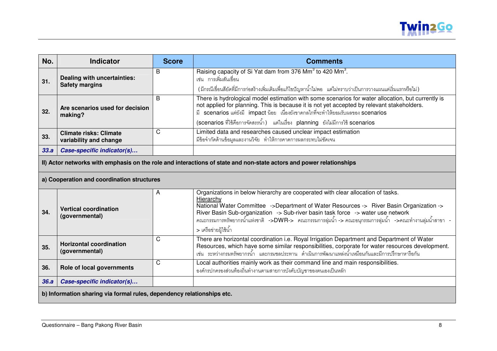

| No.  | <b>Indicator</b>                                                                                                                                                                                                                                                                                                                                                                                                                                                     | <b>Score</b> | <b>Comments</b>                                                                                                                                                                                                                                                                                                                                                      |  |
|------|----------------------------------------------------------------------------------------------------------------------------------------------------------------------------------------------------------------------------------------------------------------------------------------------------------------------------------------------------------------------------------------------------------------------------------------------------------------------|--------------|----------------------------------------------------------------------------------------------------------------------------------------------------------------------------------------------------------------------------------------------------------------------------------------------------------------------------------------------------------------------|--|
| 31.  | Dealing with uncertainties:<br><b>Safety margins</b>                                                                                                                                                                                                                                                                                                                                                                                                                 | B            | Raising capacity of Si Yat dam from 376 Mm <sup>3</sup> to 420 Mm <sup>3</sup> .<br>เช่น การเพิ่มสันเขื่อน<br>(มีกรณีเขื่อนสียัดที่มีการก่อสร้างเพิ่มเติมเพื่อแก้ไขปัญหาน้ำไม่พอ แต่ไม่ทราบว่าเป็นการวางแผนแต่เริ่มแรกหรือไม่)                                                                                                                                       |  |
| 32.  | Are scenarios used for decision<br>making?                                                                                                                                                                                                                                                                                                                                                                                                                           | B            | There is hydrological model estimation with some scenarios for water allocation, but currently is<br>not applied for planning. This is because it is not yet accepted by relevant stakeholders.<br>scenarios แต่ยังมี impact น้อย เนื่องยังขาดกลไกที่จะทำให้ยอมรับผลของ scenarios<br>(scenarios ที่ใช้คือการจัดสรรน้ำ) แต่ในเรื่อง planning ยังไม่มีการใช้ scenarios |  |
| 33.  | <b>Climate risks: Climate</b><br>variability and change                                                                                                                                                                                                                                                                                                                                                                                                              | C            | Limited data and researches caused unclear impact estimation<br>มีข้อจำกัดด้านข้อมูลและงานวิจัย ทำให้การคาดการผลกระทบไม่ชัดเจน                                                                                                                                                                                                                                       |  |
| 33.a | Case-specific indicator(s)                                                                                                                                                                                                                                                                                                                                                                                                                                           |              |                                                                                                                                                                                                                                                                                                                                                                      |  |
|      | II) Actor networks with emphasis on the role and interactions of state and non-state actors and power relationships                                                                                                                                                                                                                                                                                                                                                  |              |                                                                                                                                                                                                                                                                                                                                                                      |  |
|      | a) Cooperation and coordination structures                                                                                                                                                                                                                                                                                                                                                                                                                           |              |                                                                                                                                                                                                                                                                                                                                                                      |  |
| 34.  | Organizations in below hierarchy are cooperated with clear allocation of tasks.<br>Α<br>Hierarchy<br>National Water Committee ->Department of Water Resources -> River Basin Organization -><br><b>Vertical coordination</b><br>River Basin Sub-organization -> Sub-river basin task force -> water use network<br>(governmental)<br>คณะกรรมการทรัพยากรน้ำแห่งชาติ ->DWR-> คณะกรรมการลุ่มน้ำ -> คณะอนุกรรมการลุ่มน้ำ ->คณะทำงานลุ่มน้ำสาขา -<br>> เครือข่ายผู้ใช้น้ำ |              |                                                                                                                                                                                                                                                                                                                                                                      |  |
| 35.  | <b>Horizontal coordination</b><br>(governmental)                                                                                                                                                                                                                                                                                                                                                                                                                     | C            | There are horizontal coordination i.e. Royal Irrigation Department and Department of Water<br>Resources, which have some similar responsibilities, corporate for water resources development.<br>เช่น ระหว่างกรมทรัพยากรน้ำ และกรมชลประทาน ดำเนินการพัฒนาแหล่งน้ำเหมือนกันและมีการปรึกษาหารือกัน                                                                     |  |
| 36.  | Role of local governments                                                                                                                                                                                                                                                                                                                                                                                                                                            | C            | Local authorities mainly work as their command line and main responsibilities.<br>องค์กรปกครองส่วนท้องถิ่นทำงานตามสายการบังคับบัญชาของตนเองเป็นหลัก                                                                                                                                                                                                                  |  |
| 36.a | Case-specific indicator(s)                                                                                                                                                                                                                                                                                                                                                                                                                                           |              |                                                                                                                                                                                                                                                                                                                                                                      |  |
|      | b) Information sharing via formal rules, dependency relationships etc.                                                                                                                                                                                                                                                                                                                                                                                               |              |                                                                                                                                                                                                                                                                                                                                                                      |  |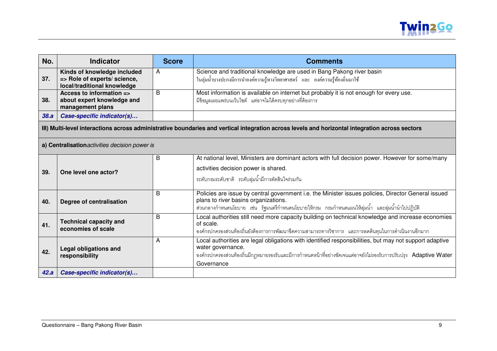

| No.  | <b>Indicator</b>                                                                           | <b>Score</b> | <b>Comments</b>                                                                                                                                                                                                                                                |
|------|--------------------------------------------------------------------------------------------|--------------|----------------------------------------------------------------------------------------------------------------------------------------------------------------------------------------------------------------------------------------------------------------|
| 37.  | Kinds of knowledge included<br>=> Role of experts/ science,<br>local/traditional knowledge | A            | Science and traditional knowledge are used in Bang Pakong river basin<br>ในลุ่มน้ำบางปะกงมีการนำองค์ความรู้ทางวิทยาศาสตร์ และ องค์ความรู้ท้องถิ่นมาใช้                                                                                                         |
| 38.  | Access to information =><br>about expert knowledge and<br>management plans                 | B            | Most information is available on internet but probably it is not enough for every use.<br>มีข้อมูลเผยแพร่บนเว็บไซต์ แต่อาจไม่ได้ครบทุกอย่างที่ต้องการ                                                                                                          |
| 38.a | Case-specific indicator(s)                                                                 |              |                                                                                                                                                                                                                                                                |
|      |                                                                                            |              | III) Multi-level interactions across administrative boundaries and vertical integration across levels and horizontal integration across sectors                                                                                                                |
|      | a) Centralisation activities decision power is                                             |              |                                                                                                                                                                                                                                                                |
| 39.  | One level one actor?                                                                       | B            | At national level, Ministers are dominant actors with full decision power. However for some/many<br>activities decision power is shared.<br>ระดับกรมระดับชาติ ระดับลุ่มน้ำมีการตัดสินใจร่วมกัน                                                                 |
| 40.  | Degree of centralisation                                                                   | B            | Policies are issue by central government i.e. the Minister issues policies, Director General issued<br>plans to river basins organizations.<br>ส่วนกลางกำหนดนโยบาย เช่น รัฐมนตรีกำหนดนโยบายให้กรม กรมกำหนดแผนให้ลุ่มน้ำ และลุ่มน้ำนำไปปฎิบัติ                  |
| 41.  | <b>Technical capacity and</b><br>economies of scale                                        | B            | Local authorities still need more capacity building on technical knowledge and increase economies<br>of scale.<br>้องค์กรปกครองส่วนท้องถิ่นยังต้องการการพัฒนาขีดความสามารถทางวิชาการ และการลดต้นทุนในการดำเนินงานอีกมาก                                        |
| 42.  | <b>Legal obligations and</b><br>responsibility                                             | Α            | Local authorities are legal obligations with identified responsibilities, but may not support adaptive<br>water governance.<br>องค์กรปกครองส่วนท้องถิ่นมีกฎหมายรองรับและมีการกำหนดหน้าที่อย่างชัดเจนแต่อาจยังไม่รองรับการปรับปรุง Adaptive Water<br>Governance |
| 42.a | Case-specific indicator(s)                                                                 |              |                                                                                                                                                                                                                                                                |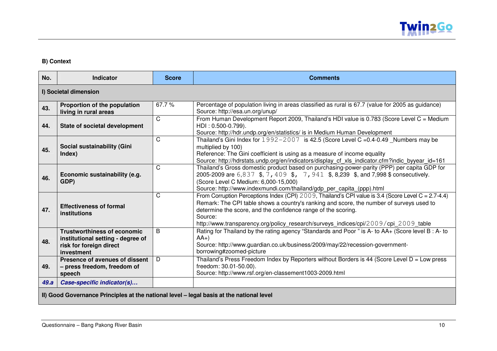

#### **B) Context**

| No.                                                                                      | <b>Indicator</b>                                                                                                 | <b>Score</b> | <b>Comments</b>                                                                                                                                                                                                                                                                                                                                                       |
|------------------------------------------------------------------------------------------|------------------------------------------------------------------------------------------------------------------|--------------|-----------------------------------------------------------------------------------------------------------------------------------------------------------------------------------------------------------------------------------------------------------------------------------------------------------------------------------------------------------------------|
|                                                                                          | I) Societal dimension                                                                                            |              |                                                                                                                                                                                                                                                                                                                                                                       |
| 43.                                                                                      | Proportion of the population<br>living in rural areas                                                            | 67.7%        | Percentage of population living in areas classified as rural is 67.7 (value for 2005 as guidance)<br>Source: http://esa.un.org/unup/                                                                                                                                                                                                                                  |
| 44.                                                                                      | <b>State of societal development</b>                                                                             | C.           | From Human Development Report 2009, Thailand's HDI value is 0.783 (Score Level C = Medium<br>HDI: 0.500-0.799).<br>Source: http://hdr.undp.org/en/statistics/ is in Medium Human Development                                                                                                                                                                          |
| 45.                                                                                      | Social sustainability (Gini<br>Index)                                                                            | C            | Thailand's Gini Index for $1992 - 2007$ is 42.5 (Score Level C = 0.4-0.49 Numbers may be<br>multiplied by 100)<br>Reference: The Gini coefficient is using as a measure of income equality<br>Source: http://hdrstats.undp.org/en/indicators/display_cf_xls_indicator.cfm?indic_byyear_id=161                                                                         |
| 46.                                                                                      | Economic sustainability (e.g.<br>GDP)                                                                            | C            | Thailand's Gross domestic product based on purchasing-power-parity (PPP) per capita GDP for<br>2005-2009 are 6,837 \$, 7, 409 \$, 7, 941 \$, 8,239 \$, and 7,998 \$ consecutively.<br>(Score Level C Medium: 6,000-15,000)<br>Source: http://www.indexmundi.com/thailand/gdp_per_capita_(ppp).html                                                                    |
| 47.                                                                                      | <b>Effectiveness of formal</b><br>institutions                                                                   | C            | From Corruption Perceptions Index (CPI) $2009$ , Thailand's CPI value is 3.4 (Score Level C = 2.7-4.4)<br>Remark: The CPI table shows a country's ranking and score, the number of surveys used to<br>determine the score, and the confidence range of the scoring.<br>Source:<br>http://www.transparency.org/policy_research/surveys_indices/cpi/2009/cpi_2009_table |
| 48.                                                                                      | <b>Trustworthiness of economic</b><br>institutional setting - degree of<br>risk for foreign direct<br>investment | <sub>B</sub> | Rating for Thailand by the rating agency "Standards and Poor " is A- to AA+ (Score level B : A- to<br>$AA+$<br>Source: http://www.guardian.co.uk/business/2009/may/22/recession-government-<br>borrowing#zoomed-picture                                                                                                                                               |
| 49.                                                                                      | Presence of avenues of dissent<br>- press freedom, freedom of<br>speech                                          | D            | Thailand's Press Freedom Index by Reporters without Borders is 44 (Score Level $D = Low press$<br>freedom: 30.01-50.00).<br>Source: http://www.rsf.org/en-classement1003-2009.html                                                                                                                                                                                    |
| 49.a                                                                                     | Case-specific indicator(s)                                                                                       |              |                                                                                                                                                                                                                                                                                                                                                                       |
| II) Good Governance Principles at the national level - legal basis at the national level |                                                                                                                  |              |                                                                                                                                                                                                                                                                                                                                                                       |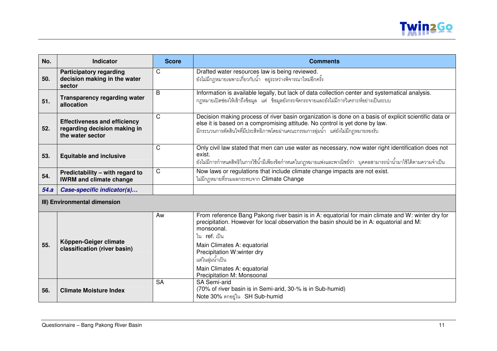

| No.  | <b>Indicator</b>                                                                        | <b>Score</b> | <b>Comments</b>                                                                                                                                                                                                                                                                                                                                                                   |  |
|------|-----------------------------------------------------------------------------------------|--------------|-----------------------------------------------------------------------------------------------------------------------------------------------------------------------------------------------------------------------------------------------------------------------------------------------------------------------------------------------------------------------------------|--|
| 50.  | <b>Participatory regarding</b><br>decision making in the water<br>sector                | C            | Drafted water resources law is being reviewed.<br>ยังไม่มีกฎหมายเฉพาะเกี่ยวกับน้ำ อยู่ระหว่างพิจารณาใหม่อีกครั้ง                                                                                                                                                                                                                                                                  |  |
| 51.  | <b>Transparency regarding water</b><br>allocation                                       | B            | Information is available legally, but lack of data collection center and systematical analysis.<br>กฎหมายเปิดช่องให้เข้าถึงข้อมูล แต่ ข้อมูลยังกระจัดกระจายและยังไม่มีการวิเคราะห์อย่างเป็นระบบ                                                                                                                                                                                   |  |
| 52.  | <b>Effectiveness and efficiency</b><br>regarding decision making in<br>the water sector | $\mathsf{C}$ | Decision making process of river basin organization is done on a basis of explicit scientific data or<br>else it is based on a compromising attitude. No control is yet done by law.<br>มีกระบวนการตัดสินใจที่มีประสิทธิภาพโดยผ่านคณะกรรมการลุ่มน้ำ แต่ยังไม่มีกฎหมายรองรับ                                                                                                       |  |
| 53.  | <b>Equitable and inclusive</b>                                                          | C            | Only civil law stated that men can use water as necessary, now water right identification does not<br>exist.<br>ยังไม่มีการกำหนดสิทธิในการใช้น้ำมีเพียงข้อกำหนดในกฎหมายแพ่งและพาณิชย์ว่า  บุคคลสามารถนำน้ำมาใช้ได้ตามความจำเป็น                                                                                                                                                   |  |
| 54.  | Predictability - with regard to<br><b>IWRM and climate change</b>                       | $\mathsf{C}$ | Now laws or regulations that include climate change impacts are not exist.<br>ไม่มีกฎหมายที่รวมผลกระทบจาก Climate Change                                                                                                                                                                                                                                                          |  |
| 54.a | Case-specific indicator(s)                                                              |              |                                                                                                                                                                                                                                                                                                                                                                                   |  |
|      | III) Environmental dimension                                                            |              |                                                                                                                                                                                                                                                                                                                                                                                   |  |
| 55.  | Köppen-Geiger climate<br>classification (river basin)                                   | Aw           | From reference Bang Pakong river basin is in A: equatorial for main climate and W: winter dry for<br>precipitation. However for local observation the basin should be in A: equatorial and M:<br>monsoonal.<br>ใน <b>ref</b> . เป็น<br>Main Climates A: equatorial<br>Precipitation W:winter dry<br>แต่ในลุ่มน้ำเป็น<br>Main Climates A: equatorial<br>Precipitation M: Monsoonal |  |
| 56.  | <b>Climate Moisture Index</b>                                                           | <b>SA</b>    | SA Semi-arid<br>(70% of river basin is in Semi-arid, 30-% is in Sub-humid)<br>Note 30% ตกอยู่ใน SH Sub-humid                                                                                                                                                                                                                                                                      |  |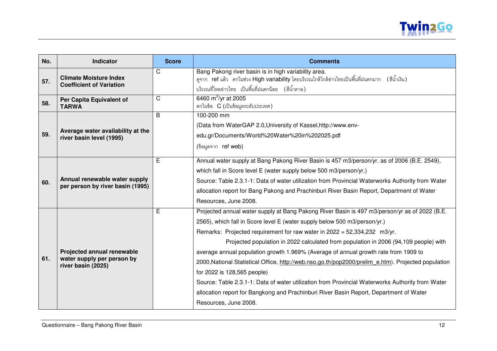

| No. | Indicator                                                                             | <b>Score</b> | <b>Comments</b>                                                                                                                                                                                                                                                                                                                                                                                                                                                                                                                                                                                                                                                                                                                                                                                    |
|-----|---------------------------------------------------------------------------------------|--------------|----------------------------------------------------------------------------------------------------------------------------------------------------------------------------------------------------------------------------------------------------------------------------------------------------------------------------------------------------------------------------------------------------------------------------------------------------------------------------------------------------------------------------------------------------------------------------------------------------------------------------------------------------------------------------------------------------------------------------------------------------------------------------------------------------|
| 57. | <b>Climate Moisture Index</b><br><b>Coefficient of Variation</b>                      | C            | Bang Pakong river basin is in high variability area.<br>ดูจาก ref แล้ว ตกในช่วง High variability โดยบริเวณใกล้ใกล้อ่าวไทยเป็นพื้นที่ฝนตกมาก (สีน้ำเงิน)<br>ึบริเวณที่ไหลอ่าวไทย เป็นพื้นที่ฝนตกน้อย (สีน้ำตาล)                                                                                                                                                                                                                                                                                                                                                                                                                                                                                                                                                                                     |
| 58. | Per Capita Equivalent of<br><b>TARWA</b>                                              | C            | 6460 $\mathrm{m}^3/\mathrm{yr}$ at 2005<br>ตกในข้อ C (เป็นข้อมูลระดับประเทศ)                                                                                                                                                                                                                                                                                                                                                                                                                                                                                                                                                                                                                                                                                                                       |
| 59. | Average water availability at the<br>river basin level (1995)                         | B            | 100-200 mm<br>(Data from WaterGAP 2.0, University of Kassel, http://www.env-<br>edu.gr/Documents/World%20Water%20in%202025.pdf<br>(ข้อมูลจาก ref web)                                                                                                                                                                                                                                                                                                                                                                                                                                                                                                                                                                                                                                              |
| 60. | Annual renewable water supply<br>per person by river basin (1995)                     | E            | Annual water supply at Bang Pakong River Basin is 457 m3/person/yr. as of 2006 (B.E. 2549),<br>which fall in Score level E (water supply below 500 m3/person/yr.)<br>Source: Table 2.3.1-1: Data of water utilization from Provincial Waterworks Authority from Water<br>allocation report for Bang Pakong and Prachinburi River Basin Report, Department of Water<br>Resources, June 2008.                                                                                                                                                                                                                                                                                                                                                                                                        |
| 61. | <b>Projected annual renewable</b><br>water supply per person by<br>river basin (2025) | E            | Projected annual water supply at Bang Pakong River Basin is 497 m3/person/yr as of 2022 (B.E.<br>2565), which fall in Score level E (water supply below 500 m3/person/yr.)<br>Remarks: Projected requirement for raw water in 2022 = 52,334,232 m3/yr.<br>Projected population in 2022 calculated from population in 2006 (94,109 people) with<br>average annual population growth 1.969% (Average of annual growth rate from 1909 to<br>2000, National Statistical Office, http://web.nso.go.th/pop2000/prelim e.htm). Projected population<br>for 2022 is 128,565 people)<br>Source: Table 2.3.1-1: Data of water utilization from Provincial Waterworks Authority from Water<br>allocation report for Bangkong and Prachinburi River Basin Report, Department of Water<br>Resources, June 2008. |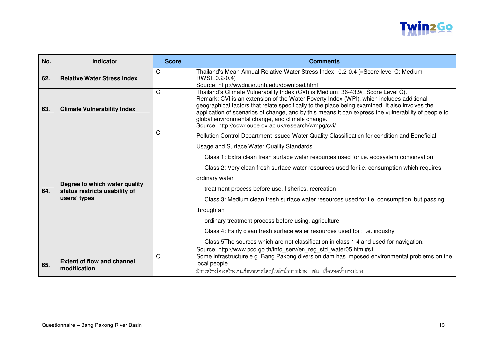

| No. | <b>Indicator</b>                                  | <b>Score</b> | <b>Comments</b>                                                                                                                                                                                                                                                                                                                                                                                                                                                                                   |
|-----|---------------------------------------------------|--------------|---------------------------------------------------------------------------------------------------------------------------------------------------------------------------------------------------------------------------------------------------------------------------------------------------------------------------------------------------------------------------------------------------------------------------------------------------------------------------------------------------|
| 62. | <b>Relative Water Stress Index</b>                | C            | Thailand's Mean Annual Relative Water Stress Index 0.2-0.4 (=Score level C: Medium<br>$RWSI=0.2-0.4$ )<br>Source: http://wwdrii.sr.unh.edu/download.html                                                                                                                                                                                                                                                                                                                                          |
| 63. | <b>Climate Vulnerability Index</b>                | C            | Thailand's Climate Vulnerability Index (CVI) is Medium: 36-43.9(=Score Level C).<br>Remark: CVI is an extension of the Water Poverty Index (WPI), which includes additional<br>geographical factors that relate specifically to the place being examined. It also involves the<br>application of scenarios of change, and by this means it can express the vulnerability of people to<br>global environmental change, and climate change.<br>Source: http://ocwr.ouce.ox.ac.uk/research/wmpg/cvi/ |
|     |                                                   | C            | Pollution Control Department issued Water Quality Classification for condition and Beneficial                                                                                                                                                                                                                                                                                                                                                                                                     |
|     |                                                   |              | Usage and Surface Water Quality Standards.                                                                                                                                                                                                                                                                                                                                                                                                                                                        |
|     |                                                   |              | Class 1: Extra clean fresh surface water resources used for i.e. ecosystem conservation                                                                                                                                                                                                                                                                                                                                                                                                           |
|     |                                                   |              | Class 2: Very clean fresh surface water resources used for i.e. consumption which requires                                                                                                                                                                                                                                                                                                                                                                                                        |
|     | Degree to which water quality                     |              | ordinary water                                                                                                                                                                                                                                                                                                                                                                                                                                                                                    |
| 64. | status restricts usability of<br>users' types     |              | treatment process before use, fisheries, recreation                                                                                                                                                                                                                                                                                                                                                                                                                                               |
|     |                                                   |              | Class 3: Medium clean fresh surface water resources used for i.e. consumption, but passing                                                                                                                                                                                                                                                                                                                                                                                                        |
|     |                                                   |              | through an                                                                                                                                                                                                                                                                                                                                                                                                                                                                                        |
|     |                                                   |              | ordinary treatment process before using, agriculture                                                                                                                                                                                                                                                                                                                                                                                                                                              |
|     |                                                   |              | Class 4: Fairly clean fresh surface water resources used for : i.e. industry                                                                                                                                                                                                                                                                                                                                                                                                                      |
|     |                                                   |              | Class 5The sources which are not classification in class 1-4 and used for navigation.                                                                                                                                                                                                                                                                                                                                                                                                             |
|     |                                                   | C            | Source: http://www.pcd.go.th/info_serv/en_reg_std_water05.html#s1<br>Some infrastructure e.g. Bang Pakong diversion dam has imposed environmental problems on the                                                                                                                                                                                                                                                                                                                                 |
| 65. | <b>Extent of flow and channel</b><br>modification |              | local people.<br>้มีการสร้างโครงสร้างเช่นเขื่อนขนาดใหญ่ในลำน้ำบางปะกง เช่น เขื่อนทดน้ำบางปะกง                                                                                                                                                                                                                                                                                                                                                                                                     |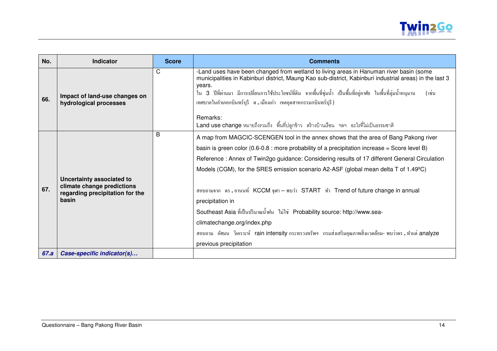

| No.  | Indicator                                                                                           | <b>Score</b> | <b>Comments</b>                                                                                                                                                                                                                                                                                                                                                                                                                                                                                                                                                                                                                                                                                                                              |
|------|-----------------------------------------------------------------------------------------------------|--------------|----------------------------------------------------------------------------------------------------------------------------------------------------------------------------------------------------------------------------------------------------------------------------------------------------------------------------------------------------------------------------------------------------------------------------------------------------------------------------------------------------------------------------------------------------------------------------------------------------------------------------------------------------------------------------------------------------------------------------------------------|
| 66.  | Impact of land-use changes on<br>hydrological processes                                             | C            | -Land uses have been changed from wetland to living areas in Hanuman river basin (some<br>municipalities in Kabinburi district, Maung Kao sub-district, Kabinburi industrial areas) in the last 3<br>years.<br>ใน 3 ปีที่ผ่านมา มีการเปลี่ยนการใช้ประโยชน์ที่ดิน จากพื้นที่ชุ่มน้ำ เป็นพื้นที่อยู่อาศัย ในพื้นที่ลุ่มน้ำหนุมาน<br>(เช่น<br>เทศบาลในอำเภอกบินทร์บุรี ต.เมืองเก่า เขตอุตสาหกรรมกบินทร์บุรี)                                                                                                                                                                                                                                                                                                                                    |
|      |                                                                                                     |              | Remarks:<br>Land use change หมายถึงรวมถึง พื้นที่ปลูกข้าว สร้างบ้านเรือน ฯลฯ อะไรที่ไม่เป็นธรรมชาติ                                                                                                                                                                                                                                                                                                                                                                                                                                                                                                                                                                                                                                          |
| 67.  | Uncertainty associated to<br>climate change predictions<br>regarding precipitation for the<br>basin | B            | A map from MAGCIC-SCENGEN tool in the annex shows that the area of Bang Pakong river<br>basin is green color (0.6-0.8 : more probability of a precipitation increase = Score level B)<br>Reference: Annex of Twin2go guidance: Considering results of 17 different General Circulation<br>Models (CGM), for the SRES emission scenario A2-ASF (global mean delta T of 1.49°C)<br>ีสอบถามจาก ดร.อานนท์ KCCM จุฬา – พบว่า START ทำ Trend of future change in annual<br>precipitation in<br>Southeast Asia ที่เป็นปริมาณน้ำฝน ไม่ใช่ Probability source: http://www.sea-<br>climatechange.org/index.php<br>ี สอบถาม อัศมน วิเคราะห์ rain intensity กระทรวงทรัพฯ กรมส่งเสริมคุณภาพสิ่งแวดล้อม- พบว่าคร . ทำแต่ analyze<br>previous precipitation |
| 67.a | Case-specific indicator(s)                                                                          |              |                                                                                                                                                                                                                                                                                                                                                                                                                                                                                                                                                                                                                                                                                                                                              |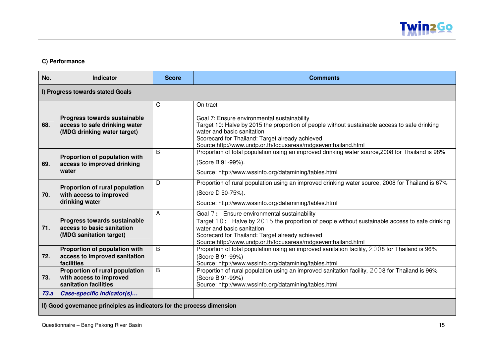

#### **C) Performance**

| No.  | <b>Indicator</b>                                                                                    | <b>Score</b> | <b>Comments</b>                                                                                                                                                                                                                                                                                            |  |
|------|-----------------------------------------------------------------------------------------------------|--------------|------------------------------------------------------------------------------------------------------------------------------------------------------------------------------------------------------------------------------------------------------------------------------------------------------------|--|
|      | I) Progress towards stated Goals                                                                    |              |                                                                                                                                                                                                                                                                                                            |  |
| 68.  | <b>Progress towards sustainable</b><br>access to safe drinking water<br>(MDG drinking water target) | C            | On tract<br>Goal 7: Ensure environmental sustainability<br>Target 10: Halve by 2015 the proportion of people without sustainable access to safe drinking<br>water and basic sanitation<br>Scorecard for Thailand: Target already achieved<br>Source:http://www.undp.or.th/focusareas/mdgseventhailand.html |  |
| 69.  | Proportion of population with<br>access to improved drinking<br>water                               | B            | Proportion of total population using an improved drinking water source, 2008 for Thailand is 98%<br>(Score B 91-99%).<br>Source: http://www.wssinfo.org/datamining/tables.html                                                                                                                             |  |
| 70.  | Proportion of rural population<br>with access to improved<br>drinking water                         | D            | Proportion of rural population using an improved drinking water source, 2008 for Thailand is 67%<br>(Score D 50-75%).<br>Source: http://www.wssinfo.org/datamining/tables.html                                                                                                                             |  |
| 71.  | Progress towards sustainable<br>access to basic sanitation<br>(MDG sanitation target)               | A            | Goal 7: Ensure environmental sustainability<br>Target $10:$ Halve by $2015$ the proportion of people without sustainable access to safe drinking<br>water and basic sanitation<br>Scorecard for Thailand: Target already achieved<br>Source:http://www.undp.or.th/focusareas/mdgseventhailand.html         |  |
| 72.  | Proportion of population with<br>access to improved sanitation<br>facilities                        | B            | Proportion of total population using an improved sanitation facility, 2008 for Thailand is 96%<br>(Score B 91-99%)<br>Source: http://www.wssinfo.org/datamining/tables.html                                                                                                                                |  |
| 73.  | Proportion of rural population<br>with access to improved<br>sanitation facilities                  | B            | Proportion of rural population using an improved sanitation facility, 2008 for Thailand is 96%<br>(Score B 91-99%)<br>Source: http://www.wssinfo.org/datamining/tables.html                                                                                                                                |  |
| 73.a | Case-specific indicator(s)                                                                          |              |                                                                                                                                                                                                                                                                                                            |  |

**II) Good governance principles as indicators for the process dimension**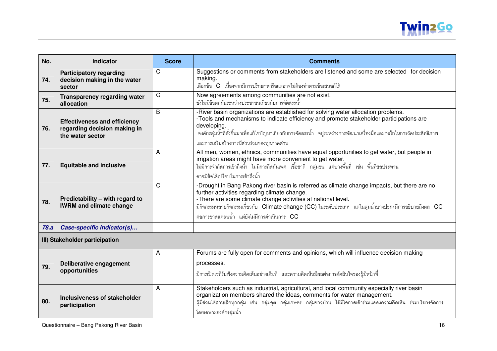

| No.  | Indicator                                                                               | <b>Score</b> | <b>Comments</b>                                                                                                                                                                                                                                                                                                                                                       |
|------|-----------------------------------------------------------------------------------------|--------------|-----------------------------------------------------------------------------------------------------------------------------------------------------------------------------------------------------------------------------------------------------------------------------------------------------------------------------------------------------------------------|
| 74.  | <b>Participatory regarding</b><br>decision making in the water<br>sector                | C            | Suggestions or comments from stakeholders are listened and some are selected for decision<br>making.<br>เลือกข้อ C เนื่องจากมีการปริกษาหารือแต่อาจไม่ต้องทำตามข้อเสนอก็ได้                                                                                                                                                                                            |
| 75.  | <b>Transparency regarding water</b><br>allocation                                       | C            | Now agreements among communities are not exist.<br>ยังไม่มีข้อตกกันระหว่างประชาชนเกี่ยวกับการจัดสรรน้ำ                                                                                                                                                                                                                                                                |
| 76.  | <b>Effectiveness and efficiency</b><br>regarding decision making in<br>the water sector | B            | -River basin organizations are established for solving water allocation problems.<br>-Tools and mechanisms to indicate efficiency and promote stakeholder participations are<br>developing.<br>่ องค์กรลุ่มน้ำที่ตั้งขึ้นมาเพื่อแก้ไขปัญหาเกี่ยวกับการจัดสรรน้ำ อยู่ระหว่างการพัฒนาเครื่องมือและกลไกในการวัดประสิทธิภาพ<br>และการเสริมสร้างการมีส่วนร่วมของทุกภาคส่วน |
| 77.  | <b>Equitable and inclusive</b>                                                          | A            | All men, women, ethnics, communities have equal opportunities to get water, but people in<br>irrigation areas might have more convenient to get water.<br>ไม่มีการจำกัดการเข้าถึงน้ำ ไม่มีการกีดกันเพศ เชื้อชาติ กลุ่มช <sup>ั</sup> น แต่บางพื้นที่ เช่น พื้นที่ชลประทาน<br>อาจมีข้อได้เปรียบในการเข้าถึงน้ำ                                                         |
| 78.  | Predictability - with regard to<br><b>IWRM and climate change</b>                       | $\mathsf{C}$ | -Drought in Bang Pakong river basin is referred as climate change impacts, but there are no<br>further activities regarding climate change.<br>-There are some climate change activities at national level.<br>มีกิจกรรมหลายกิจกรรมเกี่ยวกับ Climate change (CC) ในระดับประเทศ แต่ในลุ่มน้ำบางปะกงมีการอธิบายถึงผล CC<br>้ต่อการขาดแคลนน้ำ แต่ยังไม่มีการดำเนินการ CC |
| 78.a | Case-specific indicator(s)                                                              |              |                                                                                                                                                                                                                                                                                                                                                                       |
|      | III) Stakeholder participation                                                          |              |                                                                                                                                                                                                                                                                                                                                                                       |
| 79.  | Deliberative engagement<br>opportunities                                                | A            | Forums are fully open for comments and opinions, which will influence decision making<br>processes.<br>้มีการเปิดเวทีรับฟังความคิดเห็นอย่างเต็มที่ และความคิดเห็นมีผลต่อการตัดสินใจของผู้มีหน้าที่                                                                                                                                                                    |
| 80.  | Inclusiveness of stakeholder<br>participation                                           | A            | Stakeholders such as industrial, agricultural, and local community especially river basin<br>organization members shared the ideas, comments for water management.<br>ผู้มีส่วนได้ส่วนเสียทุกกลุ่ม เช่น กลุ่มอุต กลุ่มเกษตร กลุ่มชาวบ้าน ได้มีโอกาสเข้าร่วมแสดงความคิดเห็น ร่วมบริหารจัดการ<br>โดยเฉพาะองค์กรลุ่มน้ำ                                                  |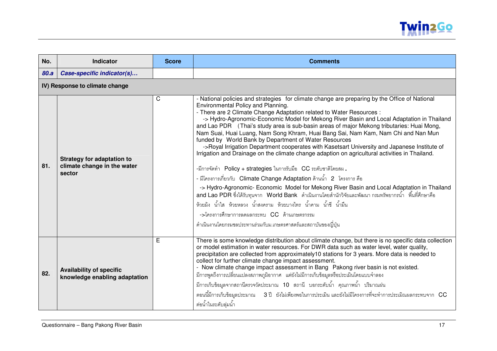

| No.  | <b>Indicator</b>                                                           | <b>Score</b> | <b>Comments</b>                                                                                                                                                                                                                                                                                                                                                                                                                                                                                                                                                                                                                                                                                                                                                                                                                                                                                                                                                                                                                                                                                                                                                                                                                                                                                              |
|------|----------------------------------------------------------------------------|--------------|--------------------------------------------------------------------------------------------------------------------------------------------------------------------------------------------------------------------------------------------------------------------------------------------------------------------------------------------------------------------------------------------------------------------------------------------------------------------------------------------------------------------------------------------------------------------------------------------------------------------------------------------------------------------------------------------------------------------------------------------------------------------------------------------------------------------------------------------------------------------------------------------------------------------------------------------------------------------------------------------------------------------------------------------------------------------------------------------------------------------------------------------------------------------------------------------------------------------------------------------------------------------------------------------------------------|
| 80.a | Case-specific indicator(s)                                                 |              |                                                                                                                                                                                                                                                                                                                                                                                                                                                                                                                                                                                                                                                                                                                                                                                                                                                                                                                                                                                                                                                                                                                                                                                                                                                                                                              |
|      | IV) Response to climate change                                             |              |                                                                                                                                                                                                                                                                                                                                                                                                                                                                                                                                                                                                                                                                                                                                                                                                                                                                                                                                                                                                                                                                                                                                                                                                                                                                                                              |
| 81.  | <b>Strategy for adaptation to</b><br>climate change in the water<br>sector | C            | - National policies and strategies for climate change are preparing by the Office of National<br>Environmental Policy and Planning.<br>- There are 2 Climate Change Adaptation related to Water Resources :<br>-> Hydro-Agronomic-Economic Model for Mekong River Basin and Local Adaptation in Thailand<br>and Lao PDR (Thai's study area is sub-basin areas of major Mekong tributaries: Huai Mong,<br>Nam Suai, Huai Luang, Nam Song Khram, Huai Bang Sai, Nam Kam, Nam Chi and Nan Mun<br>funded by World Bank by Department of Water Resources<br>->Royal Irrigation Department cooperates with Kasetsart University and Japanese Institute of<br>Irrigation and Drainage on the climate change adaption on agricultural activities in Thailand.<br>-มีการจัดทำ Policy + strategies ในการรับมือ CC ระดับชาติโดยสผ.<br>- มีโครงการเกี่ยวกับ Climate Change Adaptation ด้านน้ำ 2 โครงการ คือ<br>-> Hydro-Agronomic- Economic Model for Mekong River Basin and Local Adaptation in Thailand<br>and Lao PDR ซึ่งได้รับทุนจาก   World Bank   ดำเนินงานโดยสำนักวิจัยและพัฒนา กรมทรัพยากรน้ำ   พื้นที่ศึกษาคือ<br>ห้วยม้ง น้ำใส ห้วยหลวง น้ำสงคราม ห้วยบางไทร น้ำคาม น้ำชี น้ำมึน<br>$\rightarrow$ โครงการศึกษาการลดผลกระทบ CC ด้านเกษตรกรรม<br>ดำเนินงานโดยกรมชลประทานร่วมกับม.เกษตรศาสตร์และสถาบันของญี่ปุ่น |
| 82.  | <b>Availability of specific</b><br>knowledge enabling adaptation           | E            | There is some knowledge distribution about climate change, but there is no specific data collection<br>or model estimation in water resources. For DWR data such as water level, water quality,<br>precipitation are collected from approximately10 stations for 3 years. More data is needed to<br>collect for further climate change impact assessment.<br>- Now climate change impact assessment in Bang Pakong river basin is not existed.<br>้มีการพูดถึงการเปลี่ยนแปลงสภาพภูมิอากาศ แต่ยังไม่มีการเก็บข้อมูลหรือประเมินโดยแบบจำลอง<br>้มีการเก็บข้อมูลจากสถานีตรวจวัดประมาณ <b>10</b> สถานี บอกระดับน้ำ คุณภาพน้ำ ปริมาณฝน<br>ตอนนี้มีการเก็บข้อมูลประมาณ 3 ปี ยังไม่เพียงพอในการประเมิน และยังไม่มีโครงการที่จะทำการประเมิณผลกระทบจาก $\overline{\text{CC}}$<br>ต่อน้ำในระดับลุ่มน้ำ                                                                                                                                                                                                                                                                                                                                                                                                                                                                                                                  |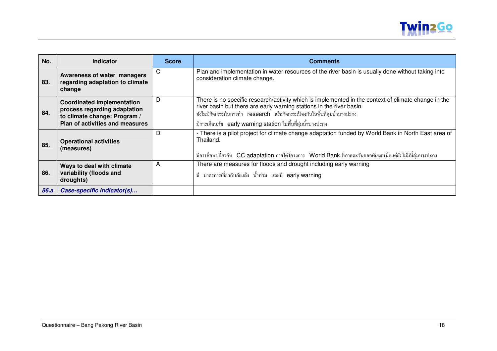

| No.  | <b>Indicator</b>                                                                                                                     | <b>Score</b> | <b>Comments</b>                                                                                                                                                                                                                                                                                                         |
|------|--------------------------------------------------------------------------------------------------------------------------------------|--------------|-------------------------------------------------------------------------------------------------------------------------------------------------------------------------------------------------------------------------------------------------------------------------------------------------------------------------|
| 83.  | Awareness of water managers<br>regarding adaptation to climate<br>change                                                             | C            | Plan and implementation in water resources of the river basin is usually done without taking into<br>consideration climate change.                                                                                                                                                                                      |
| 84.  | <b>Coordinated implementation</b><br>process regarding adaptation<br>to climate change: Program /<br>Plan of activities and measures | D            | There is no specific research/activity which is implemented in the context of climate change in the<br>river basin but there are early warning stations in the river basin.<br>ยังไม่มีกิจกรรมในการทำ research หรือกิจกรรมป้องกันในพื้นที่ลุ่มน้ำบางปะกง<br>มีการเตือนภัย early warning station ในพื้นที่ลุ่มน้ำบางปะกง |
| 85.  | <b>Operational activities</b><br>(measures)                                                                                          | D            | - There is a pilot project for climate change adaptation funded by World Bank in North East area of<br>Thailand.<br>มีการศึกษาเกี่ยวกับ CC adaptation ภายใต้โครงการ World Bank ที่ภาคตะวันออกเฉียงเหนือแต่ยังไม่มีที่ลุ่มบางปะกง                                                                                        |
| 86.  | Ways to deal with climate<br>variability (floods and<br>droughts)                                                                    | A            | There are measures for floods and drought including early warning<br>มี มาตรการเกี่ยวกับภัยแถ้ง น้ำท่วม และมี earlywarning                                                                                                                                                                                              |
| 86.a | Case-specific indicator(s)                                                                                                           |              |                                                                                                                                                                                                                                                                                                                         |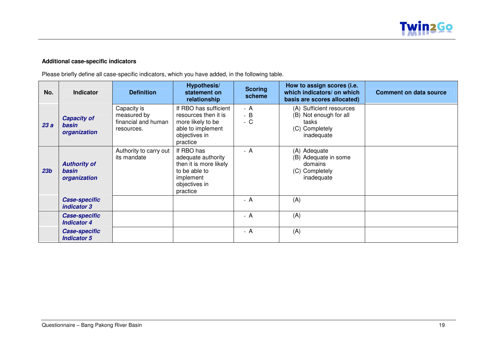#### **Additional case-specific indicators**

Please briefly define all case-specific indicators, which you have added, in the following table.

| No.             | <b>Indicator</b>                             | <b>Definition</b>                                               | <b>Hypothesis/</b><br>statement on<br>relationship                                                                    | <b>Scoring</b><br>scheme | How to assign scores (i.e.<br>which indicators/ on which<br>basis are scores allocated)     | <b>Comment on data source</b> |
|-----------------|----------------------------------------------|-----------------------------------------------------------------|-----------------------------------------------------------------------------------------------------------------------|--------------------------|---------------------------------------------------------------------------------------------|-------------------------------|
| 23a             | <b>Capacity of</b><br>basin<br>organization  | Capacity is<br>measured by<br>financial and human<br>resources. | If RBO has sufficient<br>resources then it is<br>more likely to be<br>able to implement<br>objectives in<br>practice  | - A<br>$- B$<br>$-C$     | (A) Sufficient resources<br>(B) Not enough for all<br>tasks<br>(C) Completely<br>inadequate |                               |
| 23 <sub>b</sub> | <b>Authority of</b><br>basin<br>organization | Authority to carry out<br>its mandate                           | If RBO has<br>adequate authority<br>then it is more likely<br>to be able to<br>implement<br>objectives in<br>practice | $- A$                    | (A) Adequate<br>(B) Adequate in some<br>domains<br>(C) Completely<br>inadequate             |                               |
|                 | <b>Case-specific</b><br>indicator 3          |                                                                 |                                                                                                                       | - A                      | (A)                                                                                         |                               |
|                 | <b>Case-specific</b><br><b>Indicator 4</b>   |                                                                 |                                                                                                                       | - A                      | (A)                                                                                         |                               |
|                 | <b>Case-specific</b><br><b>Indicator 5</b>   |                                                                 |                                                                                                                       | - A                      | (A)                                                                                         |                               |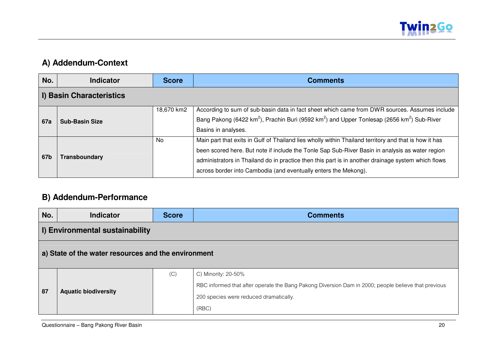

## **A) Addendum-Context**

| No.        | <b>Indicator</b>                | <b>Score</b> | <b>Comments</b>                                                                                                                                                                                                                                                                                                                                                                   |  |  |
|------------|---------------------------------|--------------|-----------------------------------------------------------------------------------------------------------------------------------------------------------------------------------------------------------------------------------------------------------------------------------------------------------------------------------------------------------------------------------|--|--|
|            | <b>I) Basin Characteristics</b> |              |                                                                                                                                                                                                                                                                                                                                                                                   |  |  |
| <b>67a</b> | <b>Sub-Basin Size</b>           | 18,670 km2   | According to sum of sub-basin data in fact sheet which came from DWR sources. Assumes include<br>Bang Pakong (6422 km <sup>2</sup> ), Prachin Buri (9592 km <sup>2</sup> ) and Upper Tonlesap (2656 km <sup>2</sup> ) Sub-River<br>Basins in analyses.                                                                                                                            |  |  |
| 67b        | Transboundary                   | <b>No</b>    | Main part that exits in Gulf of Thailand lies wholly within Thailand territory and that is how it has<br>been scored here. But note if include the Tonle Sap Sub-River Basin in analysis as water region<br>administrators in Thailand do in practice then this part is in another drainage system which flows<br>across border into Cambodia (and eventually enters the Mekong). |  |  |

## **B) Addendum-Performance**

| No. | <b>Indicator</b>                                    | <b>Score</b> | <b>Comments</b>                                                                                     |  |  |  |
|-----|-----------------------------------------------------|--------------|-----------------------------------------------------------------------------------------------------|--|--|--|
|     | I) Environmental sustainability                     |              |                                                                                                     |  |  |  |
|     | a) State of the water resources and the environment |              |                                                                                                     |  |  |  |
|     |                                                     | (C)          | C) Minority: 20-50%                                                                                 |  |  |  |
| 87  | <b>Aquatic biodiversity</b>                         |              | RBC informed that after operate the Bang Pakong Diversion Dam in 2000; people believe that previous |  |  |  |
|     |                                                     |              | 200 species were reduced dramatically.                                                              |  |  |  |
|     |                                                     |              | (RBC)                                                                                               |  |  |  |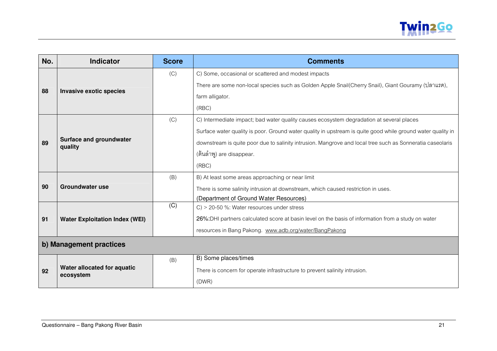

| No. | <b>Indicator</b>                         | <b>Score</b> | <b>Comments</b>                                                                                             |  |
|-----|------------------------------------------|--------------|-------------------------------------------------------------------------------------------------------------|--|
|     |                                          | (C)          | C) Some, occasional or scattered and modest impacts                                                         |  |
|     |                                          |              | There are some non-local species such as Golden Apple Snail(Cherry Snail), Giant Gouramy (ปลาแรด),          |  |
| 88  | Invasive exotic species                  |              | farm alligator.                                                                                             |  |
|     |                                          |              | (RBC)                                                                                                       |  |
|     |                                          | (C)          | C) Intermediate impact; bad water quality causes ecosystem degradation at several places                    |  |
|     |                                          |              | Surface water quality is poor. Ground water quality in upstream is quite good while ground water quality in |  |
| 89  | Surface and groundwater<br>quality       |              | downstream is quite poor due to salinity intrusion. Mangrove and local tree such as Sonneratia caseolaris   |  |
|     |                                          |              | (ต้นลำพู) are disappear.                                                                                    |  |
|     |                                          |              | (RBC)                                                                                                       |  |
|     |                                          | (B)          | B) At least some areas approaching or near limit                                                            |  |
| 90  | <b>Groundwater use</b>                   |              | There is some salinity intrusion at downstream, which caused restriction in uses.                           |  |
|     |                                          |              | (Department of Ground Water Resources)                                                                      |  |
|     |                                          | (C)          | $C$ ) > 20-50 %: Water resources under stress                                                               |  |
| 91  | <b>Water Exploitation Index (WEI)</b>    |              | 26%: DHI partners calculated score at basin level on the basis of information from a study on water         |  |
|     |                                          |              | resources in Bang Pakong. www.adb.org/water/BangPakong                                                      |  |
|     | b) Management practices                  |              |                                                                                                             |  |
|     |                                          | (B)          | B) Some places/times                                                                                        |  |
| 92  | Water allocated for aquatic<br>ecosystem |              | There is concern for operate infrastructure to prevent salinity intrusion.                                  |  |
|     |                                          |              | (DWR)                                                                                                       |  |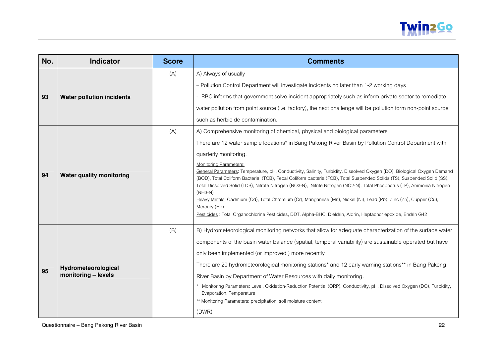

| No. | <b>Indicator</b>                           | <b>Score</b> | <b>Comments</b>                                                                                                                                                                                                                                                                                                                                                                                                                                                                                                                                                                                                                                                                                                                                                                                                                                                                            |  |
|-----|--------------------------------------------|--------------|--------------------------------------------------------------------------------------------------------------------------------------------------------------------------------------------------------------------------------------------------------------------------------------------------------------------------------------------------------------------------------------------------------------------------------------------------------------------------------------------------------------------------------------------------------------------------------------------------------------------------------------------------------------------------------------------------------------------------------------------------------------------------------------------------------------------------------------------------------------------------------------------|--|
| 93  | <b>Water pollution incidents</b>           | (A)          | A) Always of usually<br>- Pollution Control Department will investigate incidents no later than 1-2 working days<br>- RBC informs that government solve incident appropriately such as inform private sector to remediate<br>water pollution from point source (i.e. factory), the next challenge will be pollution form non-point source<br>such as herbicide contamination.                                                                                                                                                                                                                                                                                                                                                                                                                                                                                                              |  |
| 94  | <b>Water quality monitoring</b>            | (A)          | A) Comprehensive monitoring of chemical, physical and biological parameters<br>There are 12 water sample locations* in Bang Pakong River Basin by Pollution Control Department with<br>quarterly monitoring.<br>Monitoring Parameters:<br>General Parameters: Temperature, pH, Conductivity, Salinity, Turbidity, Dissolved Oxygen (DO), Biological Oxygen Demand<br>(BOD), Total Coliform Bacteria (TCB), Fecal Coliform bacteria (FCB), Total Suspended Solids (TS), Suspended Solid (SS),<br>Total Dissolved Solid (TDS), Nitrate Nitrogen (NO3-N), Nitrite Nitrogen (NO2-N), Total Phosphorus (TP), Ammonia Nitrogen<br>$(NH3-N)$<br>Heavy Metals: Cadmium (Cd), Total Chromium (Cr), Manganese (Mn), Nickel (Ni), Lead (Pb), Zinc (Zn), Cupper (Cu),<br>Mercury (Hg)<br>Pesticides : Total Organochlorine Pesticides, DDT, Alpha-BHC, Dieldrin, Aldrin, Heptachor epoxide, Endrin G42 |  |
| 95  | Hydrometeorological<br>monitoring - levels | (B)          | B) Hydrometeorological monitoring networks that allow for adequate characterization of the surface water<br>components of the basin water balance (spatial, temporal variability) are sustainable operated but have<br>only been implemented (or improved) more recently<br>There are 20 hydrometeorological monitoring stations* and 12 early warning stations** in Bang Pakong<br>River Basin by Department of Water Resources with daily monitoring.<br>Monitoring Parameters: Level, Oxidation-Reduction Potential (ORP), Conductivity, pH, Dissolved Oxygen (DO), Turbidity,<br>Evaporation, Temperature<br>** Monitoring Parameters: precipitation, soil moisture content<br>(DWR)                                                                                                                                                                                                   |  |

Questionnaire – Bang Pakong River Basin 22